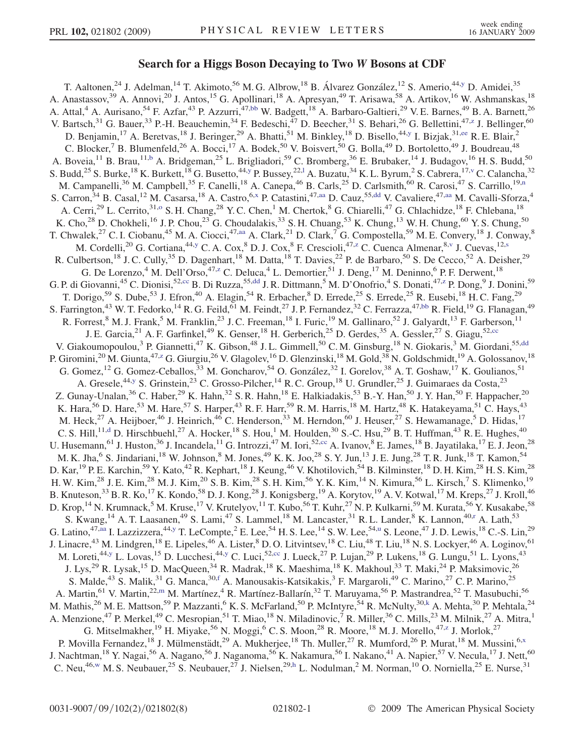## Search for a Higgs Boson Decaying to Two *<sup>W</sup>* Bosons at CDF

<span id="page-0-0"></span>T. Aaltonen,<sup>24</sup> J. Adelman,<sup>14</sup> T. Akimoto,<sup>56</sup> M. G. Albrow,<sup>18</sup> B. Álvarez González,<sup>12</sup> S. Amerio,<sup>44,[y](#page-6-0)</sup> D. Amidei,<sup>35</sup> A. Anastassov,<sup>39</sup> A. Annovi,<sup>20</sup> J. Antos,<sup>15</sup> G. Apollinari,<sup>18</sup> A. Apresyan,<sup>49</sup> T. Arisawa,<sup>58</sup> A. Artikov,<sup>16</sup> W. Ashmanskas,<sup>18</sup> A. Attal,<sup>4</sup> A. Aurisano,<sup>54</sup> F. Azfar,<sup>43</sup> P. Azzurri,<sup>47[,bb](#page-6-0)</sup> W. Badgett,<sup>18</sup> A. Barbaro-Galtieri,<sup>29</sup> V.E. Barnes,<sup>49</sup> B. A. Barnett,<sup>26</sup> V. Bartsch,  $31$  G. Bauer,  $33$  P.-H. Beauchemin,  $34$  F. Bedeschi,  $47$  D. Beecher,  $31$  S. Behari,  $26$  G. Bellettini,  $47$ , z. J. Bellinger,  $60$ D. Benjamin,<sup>17</sup> A. Beretvas,<sup>18</sup> J. Beringer,<sup>29</sup> A. Bhatti,<sup>51</sup> M. Binkley,<sup>18</sup> D. Bisello,<sup>44[,y](#page-6-0)</sup> I. Bizjak,<sup>31,[ee](#page-6-0)</sup> R. E. Blair,<sup>2</sup> C. Blocker,<sup>7</sup> B. Blumenfeld,<sup>26</sup> A. Bocci,<sup>17</sup> A. Bodek,<sup>50</sup> V. Boisvert,<sup>50</sup> G. Bolla,<sup>49</sup> D. Bortoletto,<sup>49</sup> J. Boudreau,<sup>48</sup> A. Boveia,<sup>11</sup> B. Brau,<sup>11[,b](#page-6-0)</sup> A. Bridgeman,<sup>25</sup> L. Brigliadori,<sup>59</sup> C. Bromberg,<sup>36</sup> E. Brubaker,<sup>14</sup> J. Budagov,<sup>16</sup> H. S. Budd,<sup>50</sup> S. Budd,<sup>25</sup> S. Burke,<sup>18</sup> K. Burkett,<sup>18</sup> G. Busetto,<sup>44[,y](#page-6-0)</sup> P. Bussey,<sup>22,1</sup> A. Buzatu,<sup>34</sup> K. L. Byrum,<sup>2</sup> S. Cabrera,<sup>17,v</sup> C. Ca[l](#page-6-0)ancha,<sup>32</sup> M. Campanelli,<sup>36</sup> M. Campbell,<sup>35</sup> F. Canelli,<sup>18</sup> A. Canepa,<sup>46</sup> B. Carls,<sup>25</sup> D. Carlsmith,<sup>60</sup> R. Carosi,<sup>47</sup> S. Carrillo,<sup>19[,n](#page-6-0)</sup> S. Carron,<sup>34</sup> B. Casal,<sup>12</sup> M. Casarsa,<sup>18</sup> A. Castro,<sup>6,[x](#page-6-0)</sup> P. Catastini,<sup>47,[aa](#page-6-0)</sup> D. Cauz,<sup>55[,dd](#page-6-0)</sup> V. Cavaliere,<sup>47[,aa](#page-6-0)</sup> M. Cavalli-Sforza,<sup>4</sup> A. Cerri,<sup>29</sup> L. Cerrito,<sup>31[,o](#page-6-0)</sup> S. H. Chang,<sup>28</sup> Y. C. Chen,<sup>1</sup> M. Chertok,<sup>8</sup> G. Chiarelli,<sup>47</sup> G. Chlachidze,<sup>18</sup> F. Chlebana,<sup>18</sup> K. Cho,<sup>28</sup> D. Chokheli,<sup>16</sup> J. P. Chou,<sup>23</sup> G. Choudalakis,<sup>33</sup> S. H. Chuang,<sup>53</sup> K. Chung,<sup>13</sup> W. H. Chung,<sup>60</sup> Y. S. Chung,<sup>50</sup> T. Chwalek,<sup>27</sup> C. I. Ciobanu,<sup>45</sup> M. A. Ciocci,<sup>47,[aa](#page-6-0)</sup> A. Clark,<sup>21</sup> D. Clark,<sup>7</sup> G. Compostella,<sup>59</sup> M. E. Convery,<sup>18</sup> J. Conway,<sup>8</sup> M. Cordelli,<sup>20</sup> G. Cortiana,<sup>44,[y](#page-6-0)</sup> C. A. Cox,<sup>8</sup> D. J. Cox,<sup>8</sup> F. Crescioli,<sup>47,[z](#page-6-0)</sup> C. Cuenca Almenar,<sup>8[,v](#page-6-0)</[s](#page-6-0)up> J. Cuevas,<sup>12,s</sup> R. Culbertson,<sup>18</sup> J. C. Cully,<sup>35</sup> D. Dagenhart,<sup>18</sup> M. Datta,<sup>18</sup> T. Davies,<sup>22</sup> P. de Barbaro,<sup>50</sup> S. De Cecco,<sup>52</sup> A. Deisher,<sup>29</sup> G. De Lorenzo,<sup>4</sup> M. Dell'Orso,<sup>47[,z](#page-6-0)</sup> C. Deluca,<sup>4</sup> L. Demortier,<sup>51</sup> J. Deng,<sup>17</sup> M. Deninno,<sup>6</sup> P. F. Derwent,<sup>18</sup> G. P. di Giovanni,<sup>45</sup> C. Dionisi,<sup>52[,cc](#page-6-0)</sup> B. Di Ruzza,<sup>55[,dd](#page-6-0)</sup> J. R. Dittmann,<sup>5</sup> M. D'Onofrio,<sup>4</sup> S. Donati,<sup>47[,z](#page-6-0)</sup> P. Dong,<sup>9</sup> J. Donini,<sup>59</sup> T. Dorigo,<sup>59</sup> S. Dube,<sup>53</sup> J. Efron,<sup>40</sup> A. Elagin,<sup>54</sup> R. Erbacher,<sup>8</sup> D. Errede,<sup>25</sup> S. Errede,<sup>25</sup> R. Eusebi,<sup>18</sup> H. C. Fang,<sup>29</sup> S. Farrington,<sup>43</sup> W. T. Fedorko,<sup>14</sup> R. G. Feild,<sup>61</sup> M. Feindt,<sup>27</sup> J. P. Fernandez,<sup>32</sup> C. Ferrazza,<sup>47[,bb](#page-6-0)</sup> R. Field,<sup>19</sup> G. Flanagan,<sup>49</sup> R. Forrest,  $^8$  M. J. Frank,  $^5$  M. Franklin,  $^{23}$  J. C. Freeman,  $^{18}$  I. Furic,  $^{19}$  M. Gallinaro,  $^{52}$  J. Galyardt,  $^{13}$  F. Garberson,  $^{11}$ J. E. Garcia,<sup>21</sup> A. F. Garfinkel,<sup>49</sup> K. Genser,<sup>18</sup> H. Gerberich,<sup>25</sup> D. Gerdes,<sup>35</sup> A. Gessler,<sup>27</sup> S. Giagu,<sup>52[,cc](#page-6-0)</sup> V. Giakoumopoulou,<sup>3</sup> P. Giannetti,<sup>47</sup> K. Gibson,<sup>48</sup> J. L. Gimmell,<sup>50</sup> C. M. Ginsburg,<sup>18</sup> N. Giokaris,<sup>3</sup> M. Giordani,<sup>55,[dd](#page-6-0)</sup> P. Giromini,<sup>20</sup> M. Giunta,<sup>47[,z](#page-6-0)</sup> G. Giurgiu,<sup>26</sup> V. Glagolev,<sup>16</sup> D. Glenzinski,<sup>18</sup> M. Gold,<sup>38</sup> N. Goldschmidt,<sup>19</sup> A. Golossanov,<sup>18</sup> G. Gomez,<sup>12</sup> G. Gomez-Ceballos,<sup>33</sup> M. Goncharov,<sup>54</sup> O. González,<sup>32</sup> I. Gorelov,<sup>38</sup> A. T. Goshaw,<sup>17</sup> K. Goulianos,<sup>51</sup> A. Gresele,<sup>44[,y](#page-6-0)</sup> S. Grinstein,<sup>23</sup> C. Grosso-Pilcher,<sup>14</sup> R. C. Group,<sup>18</sup> U. Grundler,<sup>25</sup> J. Guimaraes da Costa,<sup>23</sup> Z. Gunay-Unalan,<sup>36</sup> C. Haber,<sup>29</sup> K. Hahn,<sup>32</sup> S. R. Hahn,<sup>18</sup> E. Halkiadakis,<sup>53</sup> B.-Y. Han,<sup>50</sup> J. Y. Han,<sup>50</sup> F. Happacher,<sup>20</sup> K. Hara,<sup>56</sup> D. Hare,<sup>53</sup> M. Hare,<sup>57</sup> S. Harper,<sup>43</sup> R. F. Harr,<sup>59</sup> R. M. Harris,<sup>18</sup> M. Hartz,<sup>48</sup> K. Hatakeyama,<sup>51</sup> C. Hays,<sup>43</sup> M. Heck,<sup>27</sup> A. Heijboer,<sup>46</sup> J. Heinrich,<sup>46</sup> C. Henderson,<sup>33</sup> M. Herndon,<sup>60</sup> J. Heuser,<sup>27</sup> S. Hewamanage,<sup>5</sup> D. Hidas,<sup>17</sup> C. S. Hill,<sup>11[,d](#page-6-0)</sup> D. Hirschbuehl,<sup>27</sup> A. Hocker,<sup>18</sup> S. Hou,<sup>1</sup> M. Houlden,<sup>30</sup> S.-C. Hsu,<sup>29</sup> B. T. Huffman,<sup>43</sup> R. E. Hughes,<sup>40</sup> U. Husemann, <sup>61</sup> J. Huston, <sup>36</sup> J. Incandela, <sup>11</sup> G. Introzzi, <sup>47</sup> M. Iori, <sup>52, [cc](#page-6-0)</sup> A. Ivanov, <sup>8</sup> E. James, <sup>18</sup> B. Jayatilaka, <sup>17</sup> E. J. Jeon, <sup>28</sup> M. K. Jha,<sup>6</sup> S. Jindariani,<sup>18</sup> W. Johnson,<sup>8</sup> M. Jones,<sup>49</sup> K. K. Joo,<sup>28</sup> S. Y. Jun,<sup>13</sup> J. E. Jung,<sup>28</sup> T. R. Junk,<sup>18</sup> T. Kamon,<sup>54</sup> D. Kar, <sup>19</sup> P. E. Karchin,<sup>59</sup> Y. Kato,<sup>42</sup> R. Kephart, <sup>18</sup> J. Keung, <sup>46</sup> V. Khotilovich, <sup>54</sup> B. Kilminster, <sup>18</sup> D. H. Kim, <sup>28</sup> H. S. Kim, <sup>28</sup> H. W. Kim,<sup>28</sup> J. E. Kim,<sup>28</sup> M. J. Kim,<sup>20</sup> S. B. Kim,<sup>28</sup> S. H. Kim,<sup>56</sup> Y. K. Kim,<sup>14</sup> N. Kimura,<sup>56</sup> L. Kirsch,<sup>7</sup> S. Klimenko,<sup>19</sup> B. Knuteson,<sup>33</sup> B. R. Ko,<sup>17</sup> K. Kondo,<sup>58</sup> D. J. Kong,<sup>28</sup> J. Konigsberg,<sup>19</sup> A. Korytov,<sup>19</sup> A. V. Kotwal,<sup>17</sup> M. Kreps,<sup>27</sup> J. Kroll,<sup>46</sup> D. Krop,<sup>14</sup> N. Krumnack,<sup>5</sup> M. Kruse,<sup>17</sup> V. Krutelyov,<sup>11</sup> T. Kubo,<sup>56</sup> T. Kuhr,<sup>27</sup> N. P. Kulkarni,<sup>59</sup> M. Kurata,<sup>56</sup> Y. Kusakabe,<sup>58</sup> S. Kwang,<sup>14</sup> A. T. Laasanen,<sup>49</sup> S. Lami,<sup>47</sup> S. Lammel,<sup>18</sup> M. Lancaster,<sup>31</sup> R. L. Lander,<sup>8</sup> K. Lannon,<sup>40[,r](#page-6-0)</sup> A. Lath,<sup>53</sup> G. Latino,<sup>47[,aa](#page-6-0)</sup> I. Lazzizzera,<sup>44,[y](#page-6-0)</sup> T. LeCompte,<sup>2</sup> E. Lee,<sup>54</sup> H. S. Lee,<sup>14</sup> S. W. Lee,<sup>54[,u](#page-6-0)</sup> S. Leone,<sup>47</sup> J. D. Lewis,<sup>18</sup> C.-S. Lin,<sup>29</sup> J. Linacre,<sup>43</sup> M. Lindgren,<sup>18</sup> E. Lipeles,<sup>46</sup> A. Lister,<sup>8</sup> D. O. Litvintsev,<sup>18</sup> C. Liu,<sup>48</sup> T. Liu,<sup>18</sup> N. S. Lockyer,<sup>46</sup> A. Loginov,<sup>61</sup> M. Loreti,<sup>44[,y](#page-6-0)</sup> L. Lovas,<sup>15</sup> D. Lu[cc](#page-6-0)hesi,<sup>44,y</sup> C. Luci,<sup>52,cc</sup> J. Lueck,<sup>27</sup> P. Lujan,<sup>29</sup> P. Lukens,<sup>18</sup> G. Lungu,<sup>51</sup> L. Lyons,<sup>43</sup> J. Lys,<sup>29</sup> R. Lysak,<sup>15</sup> D. MacQueen,<sup>34</sup> R. Madrak,<sup>18</sup> K. Maeshima,<sup>18</sup> K. Makhoul,<sup>33</sup> T. Maki,<sup>24</sup> P. Maksimovic,<sup>26</sup> S. Malde,<sup>43</sup> S. Malik,<sup>31</sup> G. Manca,<sup>30,[f](#page-6-0)</sup> A. Manousakis-Katsikakis,<sup>3</sup> F. Margaroli,<sup>49</sup> C. Marino,<sup>27</sup> C. P. Marino,<sup>25</sup> A. Martin,<sup>61</sup> V. Martin,<sup>22[,m](#page-6-0)</sup> M. Martínez,<sup>4</sup> R. Martínez-Ballarín,<sup>32</sup> T. Maruyama,<sup>56</sup> P. Mastrandrea,<sup>52</sup> T. Masubuchi,<sup>56</sup> M. Mathis,<sup>26</sup> M. E. Mattson,<sup>59</sup> P. Mazzanti,<sup>6</sup> K. S. McFarland,<sup>50</sup> P. McIntyre,<sup>54</sup> R. McNulty,<sup>30,[k](#page-6-0)</sup> A. Mehta,<sup>30</sup> P. Mehtala,<sup>24</sup> A. Menzione,<sup>47</sup> P. Merkel,<sup>49</sup> C. Mesropian,<sup>51</sup> T. Miao,<sup>18</sup> N. Miladinovic,<sup>7</sup> R. Miller,<sup>36</sup> C. Mills,<sup>23</sup> M. Milnik,<sup>27</sup> A. Mitra,<sup>1</sup> G. Mitselmakher,<sup>19</sup> H. Miyake,<sup>56</sup> N. Moggi,<sup>6</sup> C. S. Moon,<sup>28</sup> R. Moore,<sup>18</sup> M. J. Morello,<sup>47[,z](#page-6-0)</sup> J. Morlok,<sup>27</sup> P. Movilla Fernandez,<sup>18</sup> J. Mülmenstädt,<sup>29</sup> A. Mukherjee,<sup>18</sup> Th. Muller,<sup>27</sup> R. Mumford,<sup>26</sup> P. Murat,<sup>18</sup> M. Mussini,<sup>6,[x](#page-6-0)</sup> J. Nachtman,<sup>18</sup> Y. Nagai,<sup>56</sup> A. Nagano,<sup>56</sup> J. Naganoma,<sup>56</sup> K. Nakamura,<sup>56</sup> I. Nakano,<sup>41</sup> A. Napier,<sup>57</sup> V. Necula,<sup>17</sup> J. Nett,<sup>60</sup> C. Neu,<sup>46[,w](#page-6-0)</sup> M. S. Neubauer,<sup>25</sup> S. Neubauer,<sup>27</sup> J. Nielsen,<sup>29[,h](#page-6-0)</sup> L. Nodulman,<sup>2</sup> M. Norman,<sup>10</sup> O. Norniella,<sup>25</sup> E. Nurse,<sup>31</sup>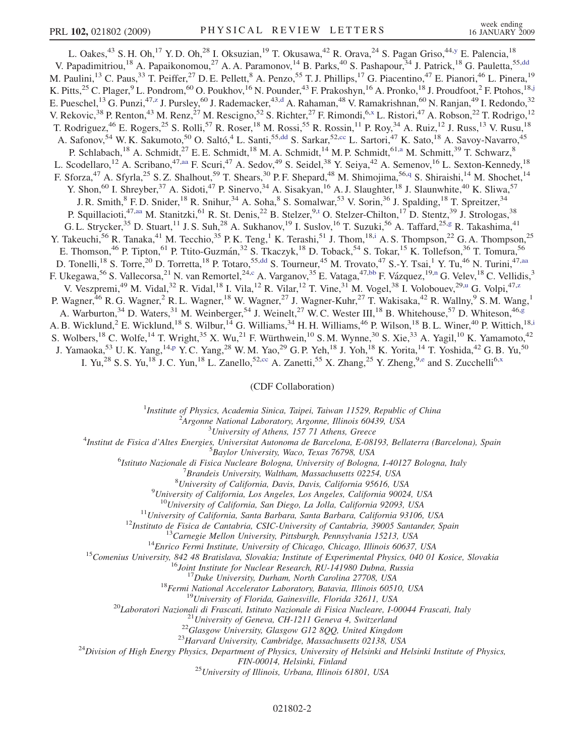<span id="page-1-0"></span>L. Oakes,<sup>43</sup> S. H. Oh,<sup>17</sup> Y. D. Oh,<sup>28</sup> I. Oksuzian,<sup>19</sup> T. Okusawa,<sup>42</sup> R. Orava,<sup>24</sup> S. Pagan Griso,<sup>44[,y](#page-6-0)</sup> E. Palencia,<sup>18</sup> V. Papadimitriou,<sup>18</sup> A. Papaikonomou,<sup>27</sup> A. A. Paramonov,<sup>14</sup> B. Parks,<sup>40</sup> S. Pashapour,<sup>34</sup> J. Patrick,<sup>18</sup> G. Pauletta,<sup>55[,dd](#page-6-0)</sup> M. Paulini,<sup>13</sup> C. Paus,<sup>33</sup> T. Peiffer,<sup>27</sup> D. E. Pellett,<sup>8</sup> A. Penzo,<sup>55</sup> T. J. Phillips,<sup>17</sup> G. Piacentino,<sup>47</sup> E. Pianori,<sup>46</sup> L. Pinera,<sup>19</sup> K. Pitts,<sup>25</sup> C. Plager,<sup>9</sup> L. Pondrom,<sup>60</sup> O. Poukhov,<sup>16</sup> N. Pounder,<sup>43</sup> F. Prakoshyn,<sup>16</sup> A. Pronko,<sup>18</sup> J. Proudfoot,<sup>2</sup> F. Ptohos,<sup>18,[j](#page-6-0)</sup> E. Pueschel,<sup>13</sup> G. Pun[z](#page-6-0)i,<sup>47,z</sup> J. Pursley,<sup>60</sup> J. Rademacker,<sup>43[,d](#page-6-0)</sup> A. Rahaman,<sup>48</sup> V. Ramakrishnan,<sup>60</sup> N. Ranjan,<sup>49</sup> I. Redondo,<sup>32</sup> V. Rekovic,<sup>38</sup> P. Renton,<sup>43</sup> M. Renz,<sup>27</sup> M. Rescigno,<sup>52</sup> S. Richter,<sup>27</sup> F. Rimondi,<sup>6[,x](#page-6-0)</sup> L. Ristori,<sup>47</sup> A. Robson,<sup>22</sup> T. Rodrigo,<sup>12</sup> T. Rodriguez,<sup>46</sup> E. Rogers,<sup>25</sup> S. Rolli,<sup>57</sup> R. Roser,<sup>18</sup> M. Rossi,<sup>55</sup> R. Rossin,<sup>11</sup> P. Roy,<sup>34</sup> A. Ruiz,<sup>12</sup> J. Russ,<sup>13</sup> V. Rusu,<sup>18</sup> A. Safonov,<sup>54</sup> W. K. Sakumoto,<sup>50</sup> O. Saltó,<sup>4</sup> L. Santi,<sup>55,[dd](#page-6-0)</sup> S. Sarkar,<sup>52[,cc](#page-6-0)</sup> L. Sartori,<sup>47</sup> K. Sato,<sup>18</sup> A. Savoy-Navarro,<sup>45</sup> P. Schlabach,<sup>18</sup> A. Schmidt,<sup>27</sup> E. E. Schmidt,<sup>18</sup> M. A. Schmidt,<sup>14</sup> M. P. Schmidt,<sup>61[,a](#page-6-0)</sup> M. Schmitt,<sup>39</sup> T. Schwarz,<sup>8</sup> L. Scodellaro,<sup>12</sup> A. Scribano,<sup>47[,aa](#page-6-0)</sup> F. Scuri,<sup>47</sup> A. Sedov,<sup>49</sup> S. Seidel,<sup>38</sup> Y. Seiya,<sup>42</sup> A. Semenov,<sup>16</sup> L. Sexton-Kennedy,<sup>18</sup> F. Sforza,<sup>47</sup> A. Sfyrla,<sup>25</sup> S. Z. Shalhout,<sup>59</sup> T. Shears,<sup>30</sup> P. F. Shepard,<sup>48</sup> M. Shimojima,<sup>56,[q](#page-6-0)</sup> S. Shiraishi,<sup>14</sup> M. Shochet,<sup>14</sup> Y. Shon,<sup>60</sup> I. Shreyber,<sup>37</sup> A. Sidoti,<sup>47</sup> P. Sinervo,<sup>34</sup> A. Sisakyan,<sup>16</sup> A. J. Slaughter,<sup>18</sup> J. Slaunwhite,<sup>40</sup> K. Sliwa,<sup>57</sup> J. R. Smith,<sup>8</sup> F. D. Snider,<sup>18</sup> R. Snihur,<sup>34</sup> A. Soha,<sup>8</sup> S. Somalwar,<sup>53</sup> V. Sorin,<sup>36</sup> J. Spalding,<sup>18</sup> T. Spreitzer,<sup>34</sup> P. Squillacioti,<sup>47[,aa](#page-6-0)</sup> M. S[t](#page-6-0)anitzki,<sup>61</sup> R. St. Denis,<sup>22</sup> B. Stelzer,<sup>9,t</sup> O. Stelzer-Chilton,<sup>17</sup> D. Stentz,<sup>39</sup> J. Strologas,<sup>38</sup> G. L. Strycker,<sup>35</sup> D. Stuart,<sup>11</sup> J. S. Suh,<sup>28</sup> A. Sukhanov,<sup>19</sup> I. Suslov,<sup>16</sup> T. Suzuki,<sup>56</sup> A. Taffard,<sup>25[,g](#page-6-0)</sup> R. Takashima,<sup>41</sup> Y. Takeuch[i](#page-6-0),<sup>56</sup> R. Tanaka,<sup>41</sup> M. Tecchio,<sup>35</sup> P.K. Teng,<sup>1</sup> K. Terashi,<sup>51</sup> J. Thom,<sup>18,i</sup> A.S. Thompson,<sup>22</sup> G.A. Thompson,<sup>25</sup> E. Thomson,<sup>46</sup> P. Tipton,<sup>61</sup> P. Ttito-Guzmán,<sup>32</sup> S. Tkaczyk,<sup>18</sup> D. Toback,<sup>54</sup> S. Tokar,<sup>15</sup> K. Tollefson,<sup>36</sup> T. Tomura,<sup>56</sup> D. Tonelli,<sup>18</sup> S. Torre,<sup>20</sup> D. Torretta,<sup>18</sup> P. Totaro,<sup>55[,dd](#page-6-0)</sup> S. Tourneur,<sup>45</sup> M. Trovato,<sup>47</sup> S.-Y. Tsai,<sup>1</sup> Y. Tu,<sup>46</sup> N. Turini,<sup>47[,aa](#page-6-0)</sup> F. Ukegawa,<sup>56</sup> S. Vallecorsa,<sup>21</sup> N. van Remortel,<sup>24[,c](#page-6-0)</sup> A. Varganov,<sup>35</sup> E. Vataga,<sup>47[,bb](#page-6-0)</sup> F. Vázquez,<sup>19,[n](#page-6-0)</sup> G. Velev,<sup>18</sup> C. Vellidis,<sup>3</sup> V. Veszpremi,<s[u](#page-6-0)p>49</sup> M. Vidal,<sup>32</sup> R. Vidal,<sup>18</sup> I. Vila,<sup>12</sup> R. Vilar,<sup>12</sup> T. Vine,<sup>31</sup> M. Vogel,<sup>38</sup> I. Volobouev,<sup>29,u</sup> G. Volpi,<sup>47,[z](#page-6-0)</sup> P. Wagner,<sup>46</sup> R. G. Wagner,<sup>2</sup> R. L. Wagner,<sup>18</sup> W. Wagner,<sup>27</sup> J. Wagner-Kuhr,<sup>27</sup> T. Wakisaka,<sup>42</sup> R. Wallny,<sup>9</sup> S. M. Wang,<sup>1</sup> A. Warburton,<sup>34</sup> D. Waters,<sup>31</sup> M. Weinber[g](#page-6-0)er,<sup>54</sup> J. Weinelt,<sup>27</sup> W. C. Wester III,<sup>18</sup> B. Whitehouse,<sup>57</sup> D. Whiteson,<sup>46,g</sup> A. B. W[i](#page-6-0)cklund,<sup>2</sup> E. Wicklund,<sup>18</sup> S. Wilbur,<sup>14</sup> G. Williams,<sup>34</sup> H. H. Williams,<sup>46</sup> P. Wilson,<sup>18</sup> B. L. Winer,<sup>40</sup> P. Wittich,<sup>18,i</sup> S. Wolbers,<sup>18</sup> C. Wolfe,<sup>14</sup> T. Wright,<sup>35</sup> X. Wu,<sup>21</sup> F. Würthwein,<sup>10</sup> S.M. Wynne,<sup>30</sup> S. Xie,<sup>33</sup> A. Yagil,<sup>10</sup> K. Yamamoto,<sup>42</sup> J. Yamaoka,<sup>53</sup> U.K. Yang,<sup>14[,p](#page-6-0)</sup> Y.C. Yang,<sup>28</sup> W.M. Yao,<sup>29</sup> G.P. Yeh,<sup>18</sup> J. Yoh,<sup>18</sup> K. Yorita,<sup>14</sup> T. Yoshida,<sup>42</sup> G.B. Yu,<sup>50</sup> I. Yu,<sup>28</sup> S. S. Yu,<sup>18</sup> J. C. Yun,<sup>18</sup> L. Zanello,<sup>52[,cc](#page-6-0)</sup> A. Zanetti,<sup>55</sup> X. Zhang,<sup>25</sup> Y. Zheng,<sup>9[,e](#page-6-0)</sup> and S. Zucchelli<sup>6,[x](#page-6-0)</sup>

## (CDF Collaboration)

<sup>1</sup>Institute of Physics, Academia Sinica, Taipei, Taiwan 11529, Republic of China<br><sup>2</sup>Argonna National Laboratory, Argonna Illinois 60430, USA

 $A$ rgonne National Laboratory, Argonne, Illinois 60439, USA<br> $3$ University of Athens, 157 71 Athens, Greece

<sup>3</sup>University of Athens, 157 71 Athens, Greece<sup>3</sup> Theories *Lyniversity* of Athens, 157 71 Athens, Greece<sup>4</sup>

Institut de Fisica d'Altes Energies, Universitat Autonoma de Barcelona, E-08193, Bellaterra (Barcelona), Spain<br><sup>5</sup> Baylar University Wase Texas 76708, USA

Baylor University, Waco, Texas 76798, USA<sup>6</sup><br><sup>6</sup> Istitute Nazionale di Fisica Nucleare Bologna, University of Bologna

Istituto Nazionale di Fisica Nucleare Bologna, University of Bologna, I-40127 Bologna, Italy <sup>7</sup>

 ${}^{7}$ Brandeis University, Waltham, Massachusetts 02254, USA

<sup>8</sup>University of California, Davis, Davis, California 95616, USA

<sup>9</sup>University of California, Los Angeles, Los Angeles, California 90024, USA<br><sup>10</sup>University of California, San Diego, La Jolla, California 92093, USA

 $^{10}$ University of California, San Diego, La Jolla, California 92093, USA<br>  $^{11}$ University of California, Santa Barbara, Santa Barbara, California 93106, USA<br>  $^{12}$ Institute de Eisica de Cantabria, CSIC-University of C

FIN-00014, Helsinki, Finland<br><sup>25</sup>University of Illinois, Urbana, Illinois 61801, USA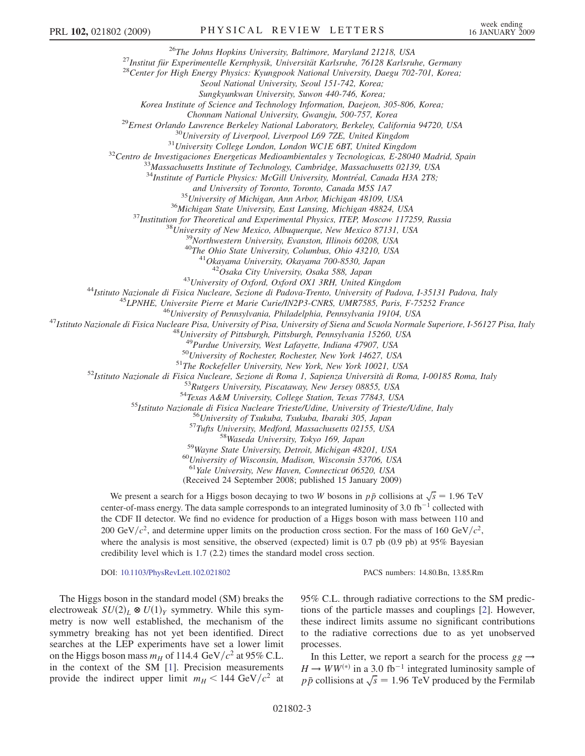<sup>26</sup>The Johns Hopkins University, Baltimore, Maryland 21218, USA<br><sup>27</sup>Institut für Experimentelle Kernphysik, Universität Karlsruhe, 76128 Karlsruhe, Germany<br><sup>28</sup>Center for High Energy Physics: Kyungpook National Universit

Seoul National University, Seoul 151-742, Korea;

Sungkyunkwan University, Suwon 440-746, Korea;

Korea Institute of Science and Technology Information, Daejeon, 305-806, Korea;

<sup>29</sup>Ernest Orlando Lawrence Berkeley National Laboratory, Berkeley, California 94720, USA<br><sup>30</sup>University of Liverpool, Liverpool L69 7ZE, United Kingdom<br><sup>31</sup>University College London, London WCIE 6BT, United Kingdom<br><sup>32</sup>C

 $34$ Institute of Particle Physics: McGill University, Montréal, Canada H3A 2T8;<br>and University of Toronto, Toronto, Canada M5S 1A7

<sup>35</sup> University of Michigan, Ann Arbor, Michigan 48109, USA<br><sup>36</sup> Michigan State University, East Lansing, Michigan 48824, USA<br><sup>37</sup> Institution for Theoretical and Experimental Physics, ITEP, Moscow 117259, Russia<br><sup>38</sup> Uni

<sup>43</sup>University of Oxford, Oxford OX1 3RH, United Kingdom<br><sup>44</sup>Istituto Nazionale di Fisica Nucleare, Sezione di Padova-Trento, University of Padova, I-35131 Padova, Italy<br><sup>45</sup>LPNHE, Universite Pierre et Marie Curie/IN2P3-C

<sup>49</sup>Purdue University, West Lafayette, Indiana 47907, USA<br><sup>50</sup>University of Rochester, Rochester, New York 14627, USA<br><sup>51</sup>The Rockefeller University, New York, New York 10021, USA<br><sup>51</sup>The Rockefeller University, New York,

 $^{60}$ University of Wisconsin, Madison, Wisconsin 53706, USA<br> $^{61}$ Yale University, New Haven, Connecticut 06520, USA

(Received 24 September 2008; published 15 January 2009)

We present a search for a Higgs boson decaying to two W bosons in  $p\bar{p}$  collisions at  $\sqrt{s} = 1.96$  TeV center-of-mass energy. The data sample corresponds to an integrated luminosity of 3.0  $fb^{-1}$  collected with the CDF II detector. We find no evidence for production of a Higgs boson with mass between 110 and 200 GeV/ $c^2$ , and determine upper limits on the production cross section. For the mass of 160 GeV/ $c^2$ , where the analysis is most sensitive, the observed (expected) limit is 0.7 pb (0.9 pb) at 95% Bayesian credibility level which is 1.7 (2.2) times the standard model cross section.

DOI: [10.1103/PhysRevLett.102.021802](http://dx.doi.org/10.1103/PhysRevLett.102.021802) PACS numbers: 14.80.Bn, 13.85.Rm

The Higgs boson in the standard model (SM) breaks the electroweak  $SU(2)_L \otimes U(1)_Y$  symmetry. While this symmetry is now well established, the mechanism of the symmetry breaking has not yet been identified. Direct searches at the LEP experiments have set a lower limit on the Higgs boson mass  $m_H$  of 114.4 GeV/ $c^2$  at 95% C.L. in the context of the SM [[1](#page-6-0)]. Precision measurements provide the indirect upper limit  $m_H < 144 \text{ GeV}/c^2$  at 95% C.L. through radiative corrections to the SM predictions of the particle masses and couplings [[2\]](#page-6-0). However, these indirect limits assume no significant contributions to the radiative corrections due to as yet unobserved processes.

In this Letter, we report a search for the process  $gg \rightarrow$  $H \to WW^{(*)}$  in a 3.0 fb<sup>-1</sup> integrated luminosity sample of p  $\bar{p}$  collisions at  $\sqrt{s} = 1.96$  TeV produced by the Fermilab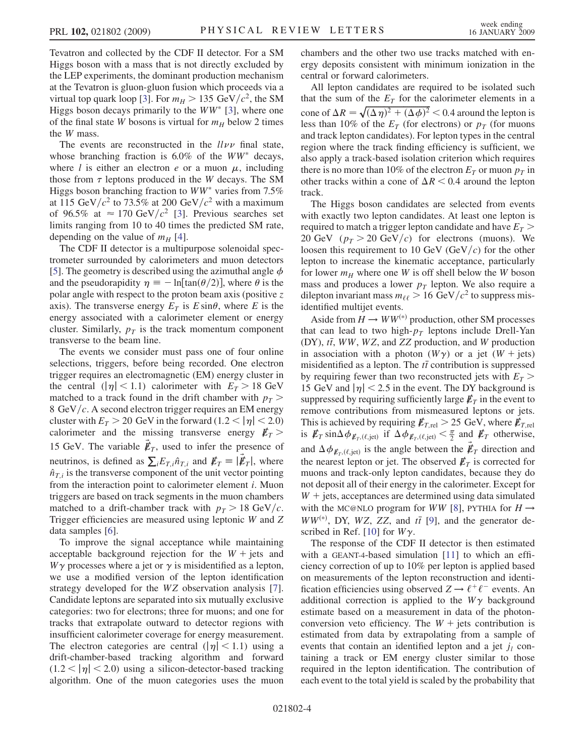Tevatron and collected by the CDF II detector. For a SM Higgs boson with a mass that is not directly excluded by the LEP experiments, the dominant production mechanism at the Tevatron is gluon-gluon fusion which proceeds via a virtual top quark loop [\[3](#page-6-0)]. For  $m_H > 135 \text{ GeV}/c^2$ , the SM Higgs boson decays primarily to the  $WW^*$  [[3](#page-6-0)], where one of the final state W bosons is virtual for  $m_H$  below 2 times the W mass.

The events are reconstructed in the  $ll\nu\nu$  final state, whose branching fraction is  $6.0\%$  of the WW<sup>\*</sup> decays, where *l* is either an electron *e* or a muon  $\mu$ , including those from  $\tau$  leptons produced in the W decays. The SM Higgs boson branching fraction to  $WW^*$  varies from 7.5% at 115 GeV/ $c^2$  to 73.5% at 200 GeV/ $c^2$  with a maximum of 96.5% at  $\approx 170 \text{ GeV}/c^2$  [\[3\]](#page-6-0). Previous searches set limits ranging from 10 to 40 times the predicted SM rate, depending on the value of  $m_H$  [\[4](#page-6-0)].

The CDF II detector is a multipurpose solenoidal spectrometer surrounded by calorimeters and muon detectors [\[5\]](#page-6-0). The geometry is described using the azimuthal angle  $\phi$ and the pseudorapidity  $\eta \equiv -\ln[\tan(\theta/2)]$ , where  $\theta$  is the polar angle with respect to the proton beam axis (positive z axis). The transverse energy  $E_T$  is  $E \sin\theta$ , where E is the energy associated with a calorimeter element or energy cluster. Similarly,  $p_T$  is the track momentum component transverse to the beam line.

The events we consider must pass one of four online selections, triggers, before being recorded. One electron trigger requires an electromagnetic (EM) energy cluster in the central  $(|\eta| < 1.1)$  calorimeter with  $E_T > 18$  GeV matched to a track found in the drift chamber with  $p_T$  > 8 GeV/ $c$ . A second electron trigger requires an EM energy cluster with  $E_T > 20$  GeV in the forward  $(1.2 < |\eta| < 2.0)$ calorimeter and the missing transverse energy  $E_T >$ 15 GeV. The variable  $\vec{\mathbf{\ell}}_T$ , used to infer the presence of neutrinos, is defined as  $\sum_i E_{T,i} \hat{n}_{T,i}$  and  $E_T \equiv |\vec{E}_T|$ , where  $\hat{n}_{T,i}$  is the transverse component of the unit vector pointing from the interaction point to calorimeter element i. Muon triggers are based on track segments in the muon chambers matched to a drift-chamber track with  $p_T > 18$  GeV/c. Trigger efficiencies are measured using leptonic W and Z data samples [[6](#page-6-0)].

To improve the signal acceptance while maintaining acceptable background rejection for the  $W +$  jets and  $W\gamma$  processes where a jet or  $\gamma$  is misidentified as a lepton, we use a modified version of the lepton identification strategy developed for the WZ observation analysis [[7\]](#page-6-0). Candidate leptons are separated into six mutually exclusive categories: two for electrons; three for muons; and one for tracks that extrapolate outward to detector regions with insufficient calorimeter coverage for energy measurement. The electron categories are central  $(|\eta| < 1.1)$  using a drift-chamber-based tracking algorithm and forward  $(1.2 < |\eta| < 2.0)$  using a silicon-detector-based tracking algorithm. One of the muon categories uses the muon chambers and the other two use tracks matched with energy deposits consistent with minimum ionization in the central or forward calorimeters.

All lepton candidates are required to be isolated such that the sum of the  $E_T$  for the calorimeter elements in a cone of  $\Delta R = \sqrt{(\Delta \eta)^2 + (\Delta \phi)^2} < 0.4$  around the lepton is less than 10% of the  $E_T$  (for electrons) or  $p_T$  (for muons and track lepton candidates). For lepton types in the central region where the track finding efficiency is sufficient, we also apply a track-based isolation criterion which requires there is no more than 10% of the electron  $E_T$  or muon  $p_T$  in other tracks within a cone of  $\Delta R < 0.4$  around the lepton track.

The Higgs boson candidates are selected from events with exactly two lepton candidates. At least one lepton is required to match a trigger lepton candidate and have  $E_T$ 20 GeV  $(p_T > 20 \text{ GeV}/c)$  for electrons (muons). We loosen this requirement to 10 GeV (GeV/c) for the other lepton to increase the kinematic acceptance, particularly for lower  $m_H$  where one W is off shell below the W boson mass and produces a lower  $p<sub>T</sub>$  lepton. We also require a dilepton invariant mass  $m_{\ell\ell} > 16 \text{ GeV}/c^2$  to suppress misidentified multijet events.

Aside from  $H \to WW^{(*)}$  production, other SM processes that can lead to two high- $p_T$  leptons include Drell-Yan (DY),  $t\bar{t}$ , WW, WZ, and ZZ production, and W production in association with a photon  $(W\gamma)$  or a jet  $(W + \text{jets})$ misidentified as a lepton. The  $t\bar{t}$  contribution is suppressed by requiring fewer than two reconstructed jets with  $E_T$  > 15 GeV and  $|\eta|$  < 2.5 in the event. The DY background is suppressed by requiring sufficiently large  $\not\hspace{-.15cm}/\,_{T}$  in the event to remove contributions from mismeasured leptons or jets. This is achieved by requiring  $\not\hspace{-1.2mm}E_{T,\text{rel}} > 25 \text{ GeV}$ , where  $\not\hspace{-1.2mm}E_{T,\text{rel}}$ is  $\not \! \! E_T \sin \Delta \phi_{E_T, (\ell, \text{jet})}$  if  $\Delta \phi_{E_T, (\ell, \text{jet})} < \frac{\pi}{2}$  and  $E_T$  otherwise, and  $\Delta \phi_{\vec{\mathcal{E}}_T, (\ell, \text{jet})}$  is the angle between the  $\vec{\mathcal{E}}_T$  direction and the nearest lepton or jet. The observed  $\not\hspace{-1.2mm}/E_{T}$  is corrected for muons and track-only lepton candidates, because they do not deposit all of their energy in the calorimeter. Except for  $W +$  jets, acceptances are determined using data simulated with the MC@NLO program for WW [[8\]](#page-6-0), PYTHIA for  $H \rightarrow$  $WW^{(*)}$ , DY, WZ, ZZ, and  $t\bar{t}$  [\[9](#page-6-0)], and the generator de-scribed in Ref. [[10](#page-7-0)] for  $W\gamma$ .

The response of the CDF II detector is then estimated with a GEANT-4-based simulation [[11](#page-7-0)] to which an efficiency correction of up to 10% per lepton is applied based on measurements of the lepton reconstruction and identification efficiencies using observed  $Z \rightarrow \ell^+ \ell^-$  events. An additional correction is applied to the  $W\gamma$  background estimate based on a measurement in data of the photonconversion veto efficiency. The  $W +$  jets contribution is estimated from data by extrapolating from a sample of events that contain an identified lepton and a jet  $j_l$  containing a track or EM energy cluster similar to those required in the lepton identification. The contribution of each event to the total yield is scaled by the probability that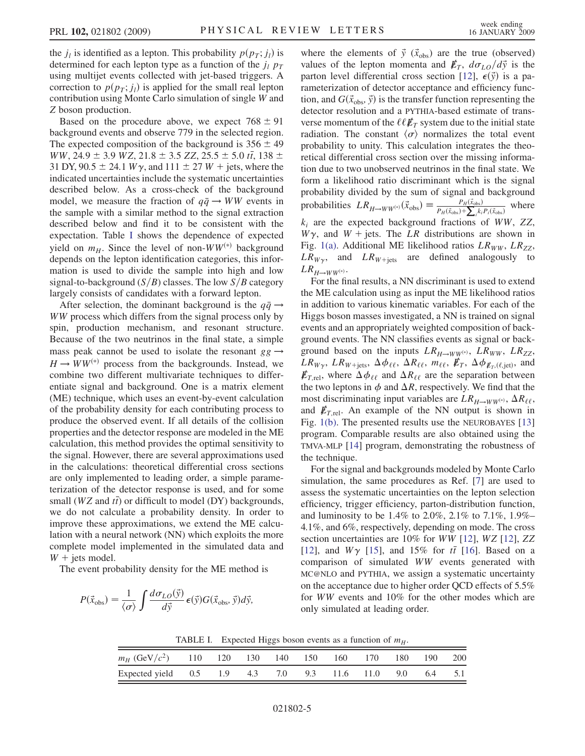the  $j_l$  is identified as a lepton. This probability  $p(p_T; j_l)$  is determined for each lepton type as a function of the  $j_l$   $p_T$ using multijet events collected with jet-based triggers. A correction to  $p(p_T; j_l)$  is applied for the small real lepton contribution using Monte Carlo simulation of single W and Z boson production.

Based on the procedure above, we expect  $768 \pm 91$ background events and observe 779 in the selected region. The expected composition of the background is  $356 \pm 49$  $WW, 24.9 \pm 3.9 \, WZ, 21.8 \pm 3.5 \, ZZ, 25.5 \pm 5.0 \, t\bar{t}, 138 \pm 0.0 \, t\bar{t}$ 31 DY, 90.5  $\pm$  24.1 W $\gamma$ , and 111  $\pm$  27 W + jets, where the indicated uncertainties include the systematic uncertainties described below. As a cross-check of the background model, we measure the fraction of  $q\bar{q} \rightarrow WW$  events in the sample with a similar method to the signal extraction described below and find it to be consistent with the expectation. Table I shows the dependence of expected yield on  $m_H$ . Since the level of non-WW<sup>(\*)</sup> background depends on the lepton identification categories, this information is used to divide the sample into high and low signal-to-background  $(S/B)$  classes. The low  $S/B$  category largely consists of candidates with a forward lepton.

After selection, the dominant background is the  $q\bar{q} \rightarrow$ WW process which differs from the signal process only by spin, production mechanism, and resonant structure. Because of the two neutrinos in the final state, a simple mass peak cannot be used to isolate the resonant  $gg \rightarrow$  $H \rightarrow WW^{(*)}$  process from the backgrounds. Instead, we combine two different multivariate techniques to differentiate signal and background. One is a matrix element (ME) technique, which uses an event-by-event calculation of the probability density for each contributing process to produce the observed event. If all details of the collision properties and the detector response are modeled in the ME calculation, this method provides the optimal sensitivity to the signal. However, there are several approximations used in the calculations: theoretical differential cross sections are only implemented to leading order, a simple parameterization of the detector response is used, and for some small ( $WZ$  and  $t\bar{t}$ ) or difficult to model (DY) backgrounds, we do not calculate a probability density. In order to improve these approximations, we extend the ME calculation with a neural network (NN) which exploits the more complete model implemented in the simulated data and  $W +$  jets model.

The event probability density for the ME method is

$$
P(\vec{x}_{\text{obs}}) = \frac{1}{\langle \sigma \rangle} \int \frac{d\sigma_{LO}(\vec{y})}{d\vec{y}} \,\epsilon(\vec{y}) G(\vec{x}_{\text{obs}}, \vec{y}) d\vec{y},
$$

where the elements of  $\vec{y}$  ( $\vec{x}_{obs}$ ) are the true (observed) values of the lepton momenta and  $E_T$ ,  $d\sigma_{LO}/d\vec{y}$  is the parton level differential cross section [\[12\]](#page-7-0),  $\epsilon(\vec{y})$  is a parameterization of detector acceptance and efficiency function, and  $G(\vec{x}_{obs}, \vec{y})$  is the transfer function representing the detector resolution and a PYTHIA-based estimate of transverse momentum of the  $\ell \ell E_T$  system due to the initial state radiation. The constant  $\langle \sigma \rangle$  normalizes the total event probability to unity. This calculation integrates the theoretical differential cross section over the missing information due to two unobserved neutrinos in the final state. We form a likelihood ratio discriminant which is the signal probability divided by the sum of signal and background probabilities  $LR_{H\to WW^{(*)}}(\vec{x}_{obs}) \equiv \frac{P_H(\vec{x}_{obs})}{P_H(\vec{x}_{obs}) + \sum_i k_i P_i(\vec{x}_{obs})}$  where  $k_i$  are the expected background fractions of WW, ZZ,  $W\gamma$ , and  $W + \text{jets}$ . The LR distributions are shown in Fig. [1\(a\)](#page-5-0). Additional ME likelihood ratios  $LR_{WW}$ ,  $LR_{ZZ}$ ,  $LR_{W\gamma}$ , and  $LR_{W+text}$  are defined analogously to  $LR_{H\rightarrow WW^{(*)}}.$ 

For the final results, a NN discriminant is used to extend the ME calculation using as input the ME likelihood ratios in addition to various kinematic variables. For each of the Higgs boson masses investigated, a NN is trained on signal events and an appropriately weighted composition of background events. The NN classifies events as signal or background based on the inputs  $LR_{H\to WW^{(*)}}$ ,  $LR_{WW}$ ,  $LR_{ZZ}$ ,  $LR_{W\gamma}$ ,  $LR_{W+\text{jets}}$ ,  $\Delta\phi_{\ell\ell}$ ,  $\Delta R_{\ell\ell}$ ,  $m_{\ell\ell}$ ,  $\not\!\!E_T$ ,  $\Delta\phi_{\not\!E_T, (\ell, \text{jet})}$ , and  $\not\!\!E_{T,\text{rel}}$ , where  $\Delta\phi_{\ell\ell}$  and  $\Delta R_{\ell\ell}$  are the separation between the two leptons in  $\phi$  and  $\Delta R$ , respectively. We find that the most discriminating input variables are  $LR_{H\to WW^{(*)}}$ ,  $\Delta R_{\ell\ell}$ , and  $\mathbf{E}_{T,\text{rel}}$ . An example of the NN output is shown in Fig. [1\(b\)](#page-5-0). The presented results use the NEUROBAYES [\[13\]](#page-7-0) program. Comparable results are also obtained using the TMVA-MLP [\[14\]](#page-7-0) program, demonstrating the robustness of the technique.

For the signal and backgrounds modeled by Monte Carlo simulation, the same procedures as Ref. [\[7](#page-6-0)] are used to assess the systematic uncertainties on the lepton selection efficiency, trigger efficiency, parton-distribution function, and luminosity to be 1.4% to 2.0%, 2.1% to 7.1%, 1.9%– 4.1%, and 6%, respectively, depending on mode. The cross section uncertainties are 10% for WW [[12](#page-7-0)], WZ [\[12\]](#page-7-0), ZZ [\[12\]](#page-7-0), and  $W\gamma$  [\[15\]](#page-7-0), and 15% for  $t\bar{t}$  [\[16\]](#page-7-0). Based on a comparison of simulated WW events generated with MC@NLO and PYTHIA, we assign a systematic uncertainty on the acceptance due to higher order QCD effects of 5.5% for WW events and 10% for the other modes which are only simulated at leading order.

TABLE I. Expected Higgs boson events as a function of  $m_H$ .

| $m_H$ (GeV/ $c^2$ ) 110 120 130 140 150 160 170 180 190 200 |  |  |  |  |  |
|-------------------------------------------------------------|--|--|--|--|--|
| Expected yield 0.5 1.9 4.3 7.0 9.3 11.6 11.0 9.0 6.4 5.1    |  |  |  |  |  |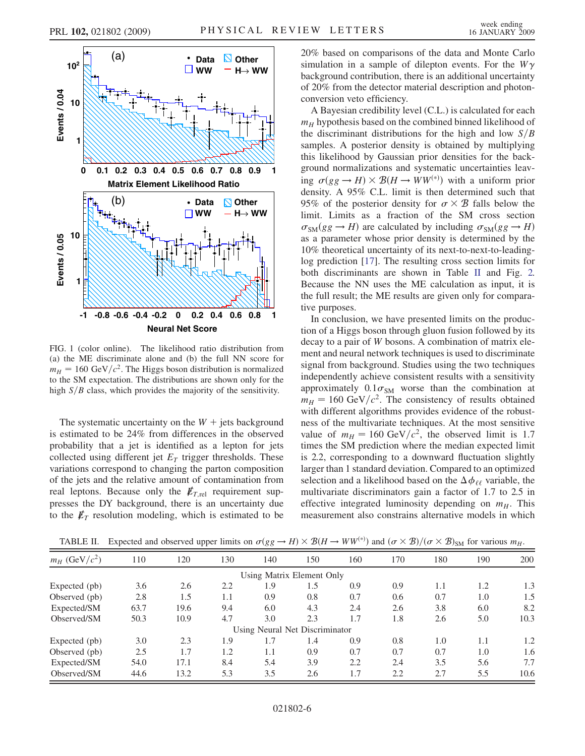

<span id="page-5-0"></span>

FIG. 1 (color online). The likelihood ratio distribution from (a) the ME discriminate alone and (b) the full NN score for  $m_H = 160 \text{ GeV}/c^2$ . The Higgs boson distribution is normalized to the SM expectation. The distributions are shown only for the high  $S/B$  class, which provides the majority of the sensitivity.

The systematic uncertainty on the  $W +$  jets background is estimated to be 24% from differences in the observed probability that a jet is identified as a lepton for jets collected using different jet  $E<sub>T</sub>$  trigger thresholds. These variations correspond to changing the parton composition of the jets and the relative amount of contamination from real leptons. Because only the  $E_{T,\text{rel}}$  requirement suppresses the DY background, there is an uncertainty due to the  $\not{\!\mathbb{E}}_T$  resolution modeling, which is estimated to be 20% based on comparisons of the data and Monte Carlo simulation in a sample of dilepton events. For the  $W\gamma$ background contribution, there is an additional uncertainty of 20% from the detector material description and photonconversion veto efficiency.

A Bayesian credibility level (C.L.) is calculated for each  $m<sub>H</sub>$  hypothesis based on the combined binned likelihood of the discriminant distributions for the high and low  $S/B$ samples. A posterior density is obtained by multiplying this likelihood by Gaussian prior densities for the background normalizations and systematic uncertainties leaving  $\sigma(gg \to H) \times \mathcal{B}(H \to WW^{(*)})$  with a uniform prior density. A 95% C.L. limit is then determined such that 95% of the posterior density for  $\sigma \times \mathcal{B}$  falls below the limit. Limits as a fraction of the SM cross section  $\sigma_{\rm SM}(gg \to H)$  are calculated by including  $\sigma_{\rm SM}(gg \to H)$ as a parameter whose prior density is determined by the 10% theoretical uncertainty of its next-to-next-to-leadinglog prediction [[17](#page-7-0)]. The resulting cross section limits for both discriminants are shown in Table II and Fig. [2.](#page-6-0) Because the NN uses the ME calculation as input, it is the full result; the ME results are given only for comparative purposes.

In conclusion, we have presented limits on the production of a Higgs boson through gluon fusion followed by its decay to a pair of W bosons. A combination of matrix element and neural network techniques is used to discriminate signal from background. Studies using the two techniques independently achieve consistent results with a sensitivity approximately  $0.1\sigma_{SM}$  worse than the combination at  $m_H = 160 \text{ GeV}/c^2$ . The consistency of results obtained with different algorithms provides evidence of the robustness of the multivariate techniques. At the most sensitive value of  $m_H = 160 \text{ GeV}/c^2$ , the observed limit is 1.7 times the SM prediction where the median expected limit is 2.2, corresponding to a downward fluctuation slightly larger than 1 standard deviation. Compared to an optimized selection and a likelihood based on the  $\Delta\phi_{\ell\ell}$  variable, the multivariate discriminators gain a factor of 1.7 to 2.5 in effective integrated luminosity depending on  $m_H$ . This measurement also constrains alternative models in which

| $m_H$ (GeV/ $c^2$ ) | 110  | 120  | 130 | 140 | 150                            | 160 | 170 | 180 | 190 | 200  |
|---------------------|------|------|-----|-----|--------------------------------|-----|-----|-----|-----|------|
|                     |      |      |     |     | Using Matrix Element Only      |     |     |     |     |      |
| Expected (pb)       | 3.6  | 2.6  | 2.2 | 1.9 | 1.5                            | 0.9 | 0.9 | 1.1 | 1.2 | 1.3  |
| Observed (pb)       | 2.8  | 1.5  | 1.1 | 0.9 | 0.8                            | 0.7 | 0.6 | 0.7 | 1.0 | 1.5  |
| Expected/SM         | 63.7 | 19.6 | 9.4 | 6.0 | 4.3                            | 2.4 | 2.6 | 3.8 | 6.0 | 8.2  |
| Observed/SM         | 50.3 | 10.9 | 4.7 | 3.0 | 2.3                            | 1.7 | 1.8 | 2.6 | 5.0 | 10.3 |
|                     |      |      |     |     | Using Neural Net Discriminator |     |     |     |     |      |
| Expected (pb)       | 3.0  | 2.3  | 1.9 | 1.7 | 1.4                            | 0.9 | 0.8 | 1.0 | 1.1 | 1.2  |
| Observed (pb)       | 2.5  | 1.7  | 1.2 | 1.1 | 0.9                            | 0.7 | 0.7 | 0.7 | 1.0 | 1.6  |
| Expected/SM         | 54.0 | 17.1 | 8.4 | 5.4 | 3.9                            | 2.2 | 2.4 | 3.5 | 5.6 | 7.7  |
| Observed/SM         | 44.6 | 13.2 | 5.3 | 3.5 | 2.6                            | 1.7 | 2.2 | 2.7 | 5.5 | 10.6 |

TABLE II. Expected and observed upper limits on  $\sigma(gg \to H) \times \mathcal{B}(H \to WW^{(*)})$  and  $(\sigma \times \mathcal{B})/(\sigma \times \mathcal{B})_{\text{SM}}$  for various  $m_H$ .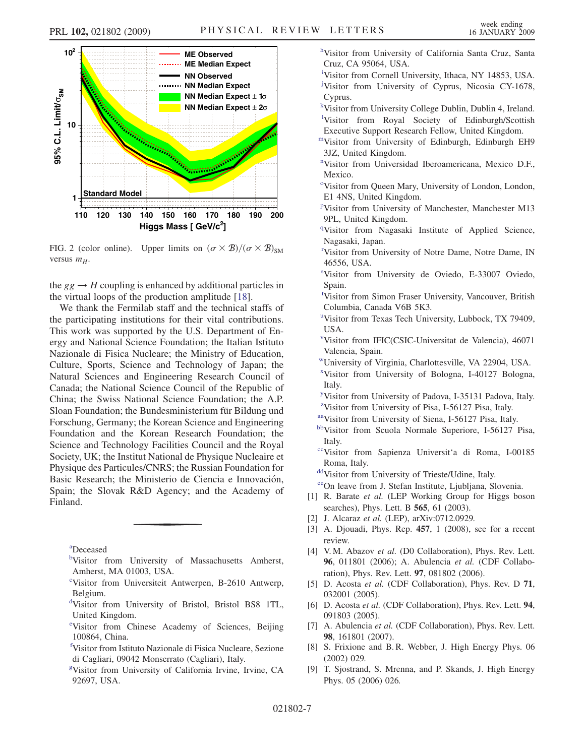<span id="page-6-0"></span>

FIG. 2 (color online). Upper limits on  $(\sigma \times \mathcal{B})/(\sigma \times \mathcal{B})_{\text{SM}}$ versus  $m_H$ .

the  $gg \rightarrow H$  coupling is enhanced by additional particles in the virtual loops of the production amplitude [\[18\]](#page-7-0).

We thank the Fermilab staff and the technical staffs of the participating institutions for their vital contributions. This work was supported by the U.S. Department of Energy and National Science Foundation; the Italian Istituto Nazionale di Fisica Nucleare; the Ministry of Education, Culture, Sports, Science and Technology of Japan; the Natural Sciences and Engineering Research Council of Canada; the National Science Council of the Republic of China; the Swiss National Science Foundation; the A.P. Sloan Foundation; the Bundesministerium für Bildung und Forschung, Germany; the Korean Science and Engineering Foundation and the Korean Research Foundation; the Science and Technology Facilities Council and the Royal Society, UK; the Institut National de Physique Nucleaire et Physique des Particules/CNRS; the Russian Foundation for Basic Research; the Ministerio de Ciencia e Innovación, Spain; the Slovak R&D Agency; and the Academy of Finland.

[a](#page-1-0) Deceased

- [b](#page-0-0)Visitor from University of Massachusetts Amherst, Amherst, MA 01003, USA.
- [c](#page-1-0) Visitor from Universiteit Antwerpen, B-2610 Antwerp, Belgium.
- [d](#page-0-0) Visitor from University of Bristol, Bristol BS8 1TL, United Kingdom.
- [e](#page-1-0) Visitor from Chinese Academy of Sciences, Beijing 100864, China.
- [f](#page-0-0) Visitor from Istituto Nazionale di Fisica Nucleare, Sezione di Cagliari, 09042 Monserrato (Cagliari), Italy.
- [g](#page-1-0) Visitor from University of California Irvine, Irvine, CA 92697, USA.
- [h](#page-0-0)Visitor from University of California Santa Cruz, Santa Cruz, CA 95064, USA.
- [i](#page-1-0) Visitor from Cornell University, Ithaca, NY 14853, USA. [j](#page-1-0) Visitor from University of Cyprus, Nicosia CY-1678, Cyprus.
- [k](#page-0-0) Visitor from University College Dublin, Dublin 4, Ireland. <sup>1</sup>Visitor from Roya[l](#page-0-0) Society of Edinburgh/Scottish Executive Support Research Fellow, United Kingdom.
- [mV](#page-0-0)isitor from University of Edinburgh, Edinburgh EH9 3JZ, United Kingdom.
- [n](#page-0-0) Visitor from Universidad Iberoamericana, Mexico D.F., Mexico.
- <sup>[o](#page-0-0)</sup>Visitor from Queen Mary, University of London, London, E1 4NS, United Kingdom.
- [p](#page-1-0) Visitor from University of Manchester, Manchester M13 9PL, United Kingdom.
- <sup>[q](#page-1-0)</sup>Visitor from Nagasaki Institute of Applied Science, Nagasaki, Japan.
- [r](#page-0-0) Visitor from University of Notre Dame, Notre Dame, IN 46556, USA.
- [s](#page-0-0) Visitor from University de Oviedo, E-33007 Oviedo, Spain.
- [t](#page-1-0) Visitor from Simon Fraser University, Vancouver, British Columbia, Canada V6B 5K3.
- <s[u](#page-0-0)p>u</sup>Visitor from Texas Tech University, Lubbock, TX 79409, USA.
- [v](#page-0-0) Visitor from IFIC(CSIC-Universitat de Valencia), 46071 Valencia, Spain.
- [wU](#page-0-0)niversity of Virginia, Charlottesville, VA 22904, USA.
- [x](#page-0-0) Visitor from University of Bologna, I-40127 Bologna, Italy.
- [y](#page-0-0) Visitor from University of Padova, I-35131 Padova, Italy. <sup>[z](#page-0-0)</sup>Visitor from University of Pisa, I-56127 Pisa, Italy.
- [aaV](#page-0-0)isitor from University of Siena, I-56127 Pisa, Italy.
- [bbV](#page-0-0)isitor from Scuola Normale Superiore, I-56127 Pisa, Italy.
- [ccV](#page-0-0)isitor from Sapienza Universit'a di Roma, I-00185 Roma, Italy.

[ddV](#page-0-0)isitor from University of Trieste/Udine, Italy.

- [eeO](#page-0-0)n leave from J. Stefan Institute, Ljubljana, Slovenia.
- [1] R. Barate et al. (LEP Working Group for Higgs boson searches), Phys. Lett. B 565, 61 (2003).
- [2] J. Alcaraz et al. (LEP), arXiv:0712.0929.
- [3] A. Djouadi, Phys. Rep. 457, 1 (2008), see for a recent review.
- [4] V.M. Abazov et al. (D0 Collaboration), Phys. Rev. Lett. 96, 011801 (2006); A. Abulencia et al. (CDF Collaboration), Phys. Rev. Lett. 97, 081802 (2006).
- [5] D. Acosta et al. (CDF Collaboration), Phys. Rev. D 71, 032001 (2005).
- [6] D. Acosta et al. (CDF Collaboration), Phys. Rev. Lett. 94, 091803 (2005).
- [7] A. Abulencia et al. (CDF Collaboration), Phys. Rev. Lett. 98, 161801 (2007).
- [8] S. Frixione and B. R. Webber, J. High Energy Phys. 06 (2002) 029.
- [9] T. Sjostrand, S. Mrenna, and P. Skands, J. High Energy Phys. 05 (2006) 026.